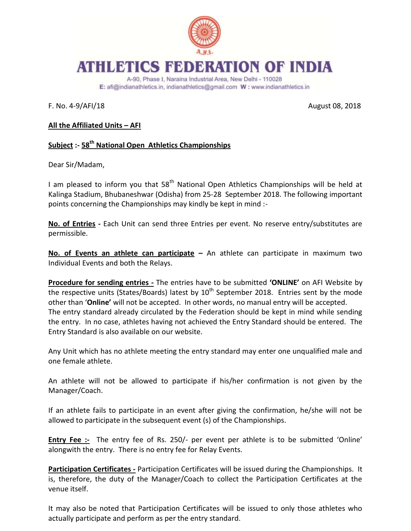

## **ATHLETICS FEDERATION OF INDIA**

A-90, Phase I, Naraina Industrial Area, New Delhi - 110028 E: afi@indianathletics.in, indianathletics@gmail.com W: www.indianathletics.in

F. No. 4-9/AFI/18 August 08, 2018

## **All the Affiliated Units – AFI**

## **Subject :- 58th National Open Athletics Championships**

Dear Sir/Madam,

I am pleased to inform you that  $58<sup>th</sup>$  National Open Athletics Championships will be held at Kalinga Stadium, Bhubaneshwar (Odisha) from 25-28 September 2018. The following important points concerning the Championships may kindly be kept in mind :-

**No. of Entries -** Each Unit can send three Entries per event. No reserve entry/substitutes are permissible.

**No. of Events an athlete can participate –** An athlete can participate in maximum two Individual Events and both the Relays.

**Procedure for sending entries -** The entries have to be submitted **'ONLINE'** on AFI Website by the respective units (States/Boards) latest by  $10<sup>th</sup>$  September 2018. Entries sent by the mode other than '**Online'** will not be accepted. In other words, no manual entry will be accepted. The entry standard already circulated by the Federation should be kept in mind while sending the entry. In no case, athletes having not achieved the Entry Standard should be entered. The Entry Standard is also available on our website.

Any Unit which has no athlete meeting the entry standard may enter one unqualified male and one female athlete.

An athlete will not be allowed to participate if his/her confirmation is not given by the Manager/Coach.

If an athlete fails to participate in an event after giving the confirmation, he/she will not be allowed to participate in the subsequent event (s) of the Championships.

**Entry Fee :-** The entry fee of Rs. 250/- per event per athlete is to be submitted 'Online' alongwith the entry. There is no entry fee for Relay Events.

**Participation Certificates -** Participation Certificates will be issued during the Championships. It is, therefore, the duty of the Manager/Coach to collect the Participation Certificates at the venue itself.

It may also be noted that Participation Certificates will be issued to only those athletes who actually participate and perform as per the entry standard.